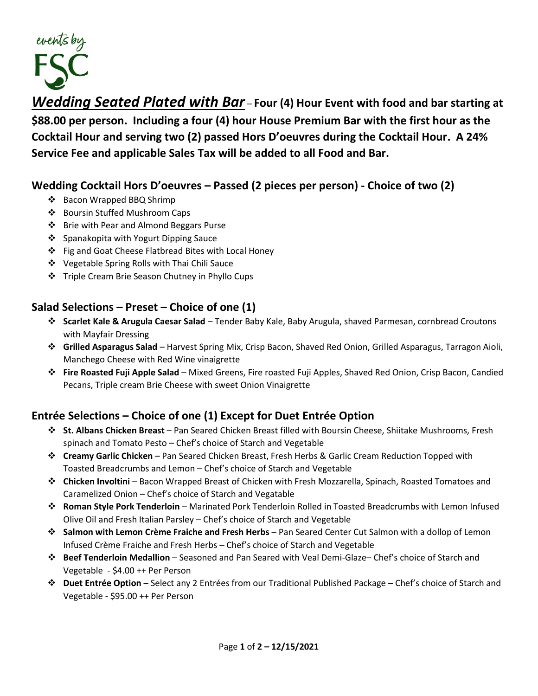

*Wedding Seated Plated with Bar* – **Four (4) Hour Event with food and bar starting at \$88.00 per person. Including a four (4) hour House Premium Bar with the first hour as the Cocktail Hour and serving two (2) passed Hors D'oeuvres during the Cocktail Hour. A 24% Service Fee and applicable Sales Tax will be added to all Food and Bar.** 

## **Wedding Cocktail Hors D'oeuvres – Passed (2 pieces per person) - Choice of two (2)**

- ❖ Bacon Wrapped BBQ Shrimp
- ❖ Boursin Stuffed Mushroom Caps
- ❖ Brie with Pear and Almond Beggars Purse
- ❖ Spanakopita with Yogurt Dipping Sauce
- ❖ Fig and Goat Cheese Flatbread Bites with Local Honey
- ❖ Vegetable Spring Rolls with Thai Chili Sauce
- ❖ Triple Cream Brie Season Chutney in Phyllo Cups

## **Salad Selections – Preset – Choice of one (1)**

- ❖ **Scarlet Kale & Arugula Caesar Salad** Tender Baby Kale, Baby Arugula, shaved Parmesan, cornbread Croutons with Mayfair Dressing
- ❖ **Grilled Asparagus Salad** Harvest Spring Mix, Crisp Bacon, Shaved Red Onion, Grilled Asparagus, Tarragon Aioli, Manchego Cheese with Red Wine vinaigrette
- ❖ **Fire Roasted Fuji Apple Salad** Mixed Greens, Fire roasted Fuji Apples, Shaved Red Onion, Crisp Bacon, Candied Pecans, Triple cream Brie Cheese with sweet Onion Vinaigrette

# **Entrée Selections – Choice of one (1) Except for Duet Entrée Option**

- ❖ **St. Albans Chicken Breast** Pan Seared Chicken Breast filled with Boursin Cheese, Shiitake Mushrooms, Fresh spinach and Tomato Pesto – Chef's choice of Starch and Vegetable
- ❖ **Creamy Garlic Chicken** Pan Seared Chicken Breast, Fresh Herbs & Garlic Cream Reduction Topped with Toasted Breadcrumbs and Lemon – Chef's choice of Starch and Vegetable
- ❖ **Chicken Involtini** Bacon Wrapped Breast of Chicken with Fresh Mozzarella, Spinach, Roasted Tomatoes and Caramelized Onion – Chef's choice of Starch and Vegatable
- ❖ **Roman Style Pork Tenderloin** Marinated Pork Tenderloin Rolled in Toasted Breadcrumbs with Lemon Infused Olive Oil and Fresh Italian Parsley – Chef's choice of Starch and Vegetable
- ❖ **Salmon with Lemon Crème Fraiche and Fresh Herbs** Pan Seared Center Cut Salmon with a dollop of Lemon Infused Crème Fraiche and Fresh Herbs – Chef's choice of Starch and Vegetable
- ❖ **Beef Tenderloin Medallion** Seasoned and Pan Seared with Veal Demi-Glaze– Chef's choice of Starch and Vegetable - \$4.00 ++ Per Person
- ❖ **Duet Entrée Option** Select any 2 Entrées from our Traditional Published Package Chef's choice of Starch and Vegetable - \$95.00 ++ Per Person